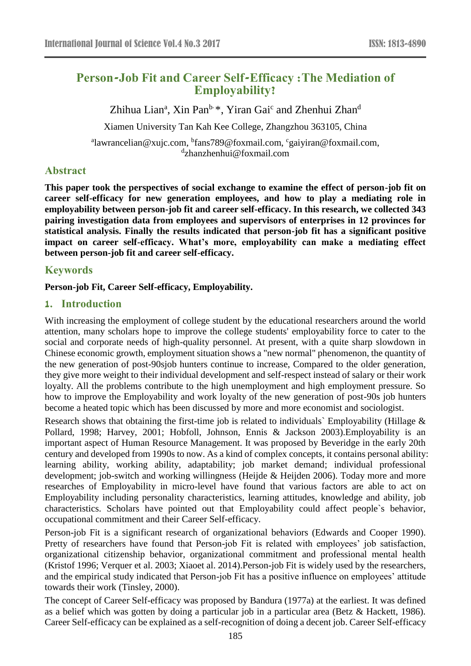# **Person-Job Fit and Career Self-Efficacy :The Mediation of Employability?**

Zhihua Lian<sup>a</sup>, Xin Pan<sup>b, \*</sup>, Yiran Gai<sup>c</sup> and Zhenhui Zhan<sup>d</sup>

Xiamen University Tan Kah Kee College, Zhangzhou 363105, China

<sup>a</sup>lawrancelian@xujc.com, <sup>b</sup>fans789@foxmail.com, <sup>c</sup>gaiyiran@foxmail.com, d zhanzhenhui@foxmail.com

## **Abstract**

**This paper took the perspectives of social exchange to examine the effect of person-job fit on career self-efficacy for new generation employees, and how to play a mediating role in employability between person-job fit and career self-efficacy. In this research, we collected 343 pairing investigation data from employees and supervisors of enterprises in 12 provinces for statistical analysis. Finally the results indicated that person-job fit has a significant positive impact on career self-efficacy. What's more, employability can make a mediating effect between person-job fit and career self-efficacy.**

## **Keywords**

#### **Person-job Fit, Career Self-efficacy, Employability.**

## **1. Introduction**

With increasing the employment of college student by the educational researchers around the world attention, many scholars hope to improve the college students' employability force to cater to the social and corporate needs of high-quality personnel. At present, with a quite sharp slowdown in Chinese economic growth, employment situation shows a "new normal" phenomenon, the quantity of the new generation of post-90sjob hunters continue to increase, Compared to the older generation, they give more weight to their individual development and self-respect instead of salary or their work loyalty. All the problems contribute to the high unemployment and high employment pressure. So how to improve the Employability and work loyalty of the new generation of post-90s job hunters become a heated topic which has been discussed by more and more economist and sociologist.

Research shows that obtaining the first-time job is related to individuals` Employability (Hillage & Pollard, 1998; Harvey, 2001; Hobfoll, Johnson, Ennis & Jackson 2003).Employability is an important aspect of Human Resource Management. It was proposed by Beveridge in the early 20th century and developed from 1990s to now. As a kind of complex concepts, it contains personal ability: learning ability, working ability, adaptability; job market demand; individual professional development; job-switch and working willingness (Heijde & Heijden 2006). Today more and more researches of Employability in micro-level have found that various factors are able to act on Employability including personality characteristics, learning attitudes, knowledge and ability, job characteristics. Scholars have pointed out that Employability could affect people`s behavior, occupational commitment and their Career Self-efficacy.

Person-job Fit is a significant research of organizational behaviors (Edwards and Cooper 1990). Pretty of researchers have found that Person-job Fit is related with employees' job satisfaction, organizational citizenship behavior, organizational commitment and professional mental health (Kristof 1996; Verquer et al. 2003; Xiaoet al. 2014).Person-job Fit is widely used by the researchers, and the empirical study indicated that Person-job Fit has a positive influence on employees' attitude towards their work (Tinsley, 2000).

The concept of Career Self-efficacy was proposed by Bandura (1977a) at the earliest. It was defined as a belief which was gotten by doing a particular job in a particular area (Betz & Hackett, 1986). Career Self-efficacy can be explained as a self-recognition of doing a decent job. Career Self-efficacy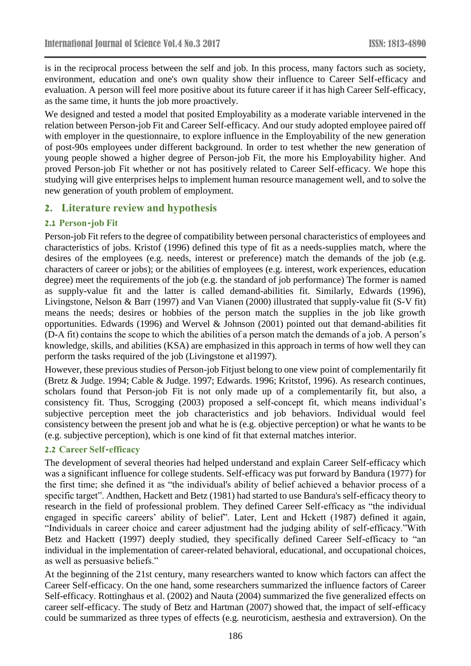is in the reciprocal process between the self and job. In this process, many factors such as society, environment, education and one's own quality show their influence to Career Self-efficacy and evaluation. A person will feel more positive about its future career if it has high Career Self-efficacy, as the same time, it hunts the job more proactively.

We designed and tested a model that posited Employability as a moderate variable intervened in the relation between Person-job Fit and Career Self-efficacy. And our study adopted employee paired off with employer in the questionnaire, to explore influence in the Employability of the new generation of post-90s employees under different background. In order to test whether the new generation of young people showed a higher degree of Person-job Fit, the more his Employability higher. And proved Person-job Fit whether or not has positively related to Career Self-efficacy. We hope this studying will give enterprises helps to implement human resource management well, and to solve the new generation of youth problem of employment.

## **2. Literature review and hypothesis**

## **2.1 Person-job Fit**

Person-job Fit refers to the degree of compatibility between personal characteristics of employees and characteristics of jobs. Kristof (1996) defined this type of fit as a needs-supplies match, where the desires of the employees (e.g. needs, interest or preference) match the demands of the job (e.g. characters of career or jobs); or the abilities of employees (e.g. interest, work experiences, education degree) meet the requirements of the job (e.g. the standard of job performance) The former is named as supply-value fit and the latter is called demand-abilities fit. Similarly, Edwards (1996), Livingstone, Nelson & Barr (1997) and Van Vianen (2000) illustrated that supply-value fit (S-V fit) means the needs; desires or hobbies of the person match the supplies in the job like growth opportunities. Edwards (1996) and Wervel & Johnson (2001) pointed out that demand-abilities fit (D-A fit) contains the scope to which the abilities of a person match the demands of a job. A person's knowledge, skills, and abilities (KSA) are emphasized in this approach in terms of how well they can perform the tasks required of the job (Livingstone et al1997).

However, these previous studies of Person-job Fitjust belong to one view point of complementarily fit (Bretz & Judge. 1994; Cable & Judge. 1997; Edwards. 1996; Kritstof, 1996). As research continues, scholars found that Person-job Fit is not only made up of a complementarily fit, but also, a consistency fit. Thus, Scrogging (2003) proposed a self-concept fit, which means individual's subjective perception meet the job characteristics and job behaviors. Individual would feel consistency between the present job and what he is (e.g. objective perception) or what he wants to be (e.g. subjective perception), which is one kind of fit that external matches interior.

#### **2.2 Career Self-efficacy**

The development of several theories had helped understand and explain Career Self-efficacy which was a significant influence for college students. Self-efficacy was put forward by Bandura (1977) for the first time; she defined it as "the individual's ability of belief achieved a behavior process of a specific target". Andthen, Hackett and Betz (1981) had started to use Bandura's self-efficacy theory to research in the field of professional problem. They defined Career Self-efficacy as "the individual engaged in specific careers' ability of belief". Later, Lent and Hckett (1987) defined it again, "Individuals in career choice and career adjustment had the judging ability of self-efficacy."With Betz and Hackett (1997) deeply studied, they specifically defined Career Self-efficacy to "an individual in the implementation of career-related behavioral, educational, and occupational choices, as well as persuasive beliefs."

At the beginning of the 21st century, many researchers wanted to know which factors can affect the Career Self-efficacy. On the one hand, some researchers summarized the influence factors of Career Self-efficacy. Rottinghaus et al. (2002) and Nauta (2004) summarized the five generalized effects on career self-efficacy. The study of Betz and Hartman (2007) showed that, the impact of self-efficacy could be summarized as three types of effects (e.g. neuroticism, aesthesia and extraversion). On the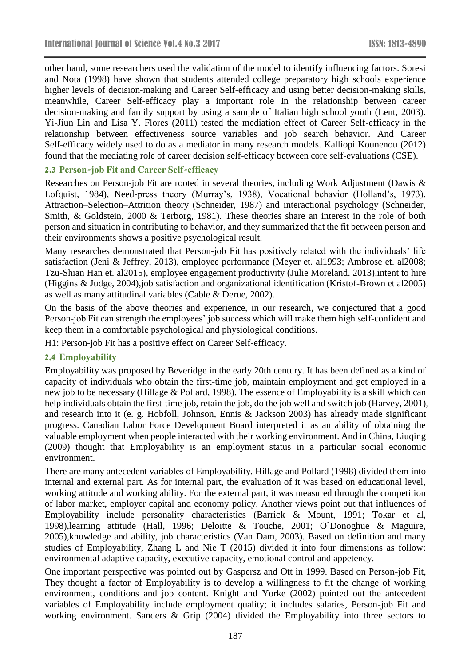other hand, some researchers used the validation of the model to identify influencing factors. Soresi and Nota (1998) have shown that students attended college preparatory high schools experience higher levels of decision-making and Career Self-efficacy and using better decision-making skills, meanwhile, Career Self-efficacy play a important role In the relationship between career decision-making and family support by using a sample of Italian high school youth (Lent, 2003). Yi-Jiun Lin and Lisa Y. Flores (2011) tested the mediation effect of Career Self-efficacy in the relationship between effectiveness source variables and job search behavior. And Career Self-efficacy widely used to do as a mediator in many research models. Kalliopi Kounenou (2012) found that the mediating role of career decision self-efficacy between core self-evaluations (CSE).

## **2.3 Person-job Fit and Career Self-efficacy**

Researches on Person-job Fit are rooted in several theories, including Work Adjustment (Dawis & Lofquist, 1984), Need-press theory (Murray's, 1938), Vocational behavior (Holland's, 1973), Attraction–Selection–Attrition theory (Schneider, 1987) and interactional psychology (Schneider, Smith, & Goldstein, 2000 & Terborg, 1981). These theories share an interest in the role of both person and situation in contributing to behavior, and they summarized that the fit between person and their environments shows a positive psychological result.

Many researches demonstrated that Person-job Fit has positively related with the individuals' life satisfaction (Jeni & Jeffrey, 2013), employee performance (Meyer et. al1993; Ambrose et. al2008; Tzu-Shian Han et. al2015), employee engagement productivity (Julie Moreland. 2013),intent to hire (Higgins & Judge, 2004),job satisfaction and organizational identification (Kristof-Brown et al2005) as well as many attitudinal variables (Cable & Derue, 2002).

On the basis of the above theories and experience, in our research, we conjectured that a good Person-job Fit can strength the employees' job success which will make them high self-confident and keep them in a comfortable psychological and physiological conditions.

H1: Person-job Fit has a positive effect on Career Self-efficacy.

#### **2.4 Employability**

Employability was proposed by Beveridge in the early 20th century. It has been defined as a kind of capacity of individuals who obtain the first-time job, maintain employment and get employed in a new job to be necessary (Hillage & Pollard, 1998). The essence of Employability is a skill which can help individuals obtain the first-time job, retain the job, do the job well and switch job (Harvey, 2001), and research into it (e. g. Hobfoll, Johnson, Ennis & Jackson 2003) has already made significant progress. Canadian Labor Force Development Board interpreted it as an ability of obtaining the valuable employment when people interacted with their working environment. And in China, Liuqing (2009) thought that Employability is an employment status in a particular social economic environment.

There are many antecedent variables of Employability. Hillage and Pollard (1998) divided them into internal and external part. As for internal part, the evaluation of it was based on educational level, working attitude and working ability. For the external part, it was measured through the competition of labor market, employer capital and economy policy. Another views point out that influences of Employability include personality characteristics (Barrick & Mount, 1991; Tokar et al, 1998),learning attitude (Hall, 1996; Deloitte & Touche, 2001; O`Donoghue & Maguire, 2005),knowledge and ability, job characteristics (Van Dam, 2003). Based on definition and many studies of Employability, Zhang L and Nie T (2015) divided it into four dimensions as follow: environmental adaptive capacity, executive capacity, emotional control and appetency.

One important perspective was pointed out by Gaspersz and Ott in 1999. Based on Person-job Fit, They thought a factor of Employability is to develop a willingness to fit the change of working environment, conditions and job content. Knight and Yorke (2002) pointed out the antecedent variables of Employability include employment quality; it includes salaries, Person-job Fit and working environment. Sanders & Grip (2004) divided the Employability into three sectors to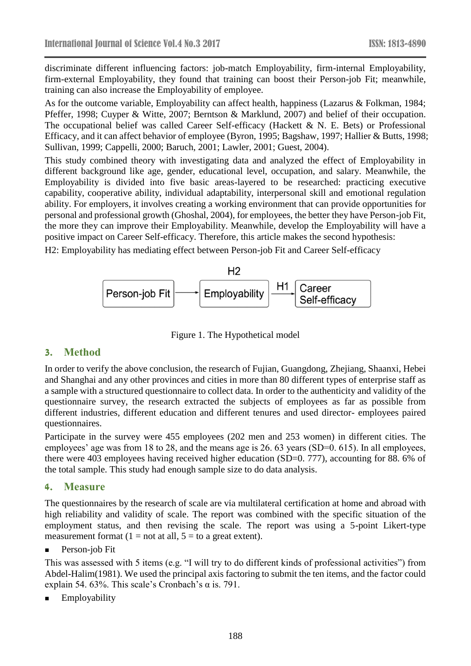discriminate different influencing factors: job-match Employability, firm-internal Employability, firm-external Employability, they found that training can boost their Person-job Fit; meanwhile, training can also increase the Employability of employee.

As for the outcome variable, Employability can affect health, happiness (Lazarus & Folkman, 1984; Pfeffer, 1998; Cuyper & Witte, 2007; Berntson & Marklund, 2007) and belief of their occupation. The occupational belief was called Career Self-efficacy (Hackett & N. E. Bets) or Professional Efficacy, and it can affect behavior of employee (Byron, 1995; Bagshaw, 1997; Hallier & Butts, 1998; Sullivan, 1999; Cappelli, 2000; Baruch, 2001; Lawler, 2001; Guest, 2004).

This study combined theory with investigating data and analyzed the effect of Employability in different background like age, gender, educational level, occupation, and salary. Meanwhile, the Employability is divided into five basic areas-layered to be researched: practicing executive capability, cooperative ability, individual adaptability, interpersonal skill and emotional regulation ability. For employers, it involves creating a working environment that can provide opportunities for personal and professional growth (Ghoshal, 2004), for employees, the better they have Person-job Fit, the more they can improve their Employability. Meanwhile, develop the Employability will have a positive impact on Career Self-efficacy. Therefore, this article makes the second hypothesis:

H2: Employability has mediating effect between Person-job Fit and Career Self-efficacy



Figure 1. The Hypothetical model

## **3. Method**

In order to verify the above conclusion, the research of Fujian, Guangdong, Zhejiang, Shaanxi, Hebei and Shanghai and any other provinces and cities in more than 80 different types of enterprise staff as a sample with a structured questionnaire to collect data. In order to the authenticity and validity of the questionnaire survey, the research extracted the subjects of employees as far as possible from different industries, different education and different tenures and used director- employees paired questionnaires.

Participate in the survey were 455 employees (202 men and 253 women) in different cities. The employees' age was from 18 to 28, and the means age is 26, 63 years (SD=0, 615). In all employees, there were 403 employees having received higher education (SD=0. 777), accounting for 88. 6% of the total sample. This study had enough sample size to do data analysis.

## **4. Measure**

The questionnaires by the research of scale are via multilateral certification at home and abroad with high reliability and validity of scale. The report was combined with the specific situation of the employment status, and then revising the scale. The report was using a 5-point Likert-type measurement format  $(1 = not at all, 5 = to a great extent).$ 

Person-job Fit

This was assessed with 5 items (e.g. "I will try to do different kinds of professional activities") from Abdel-Halim(1981). We used the principal axis factoring to submit the ten items, and the factor could explain 54. 63%. This scale's Cronbach's  $\alpha$  is. 791.

Employability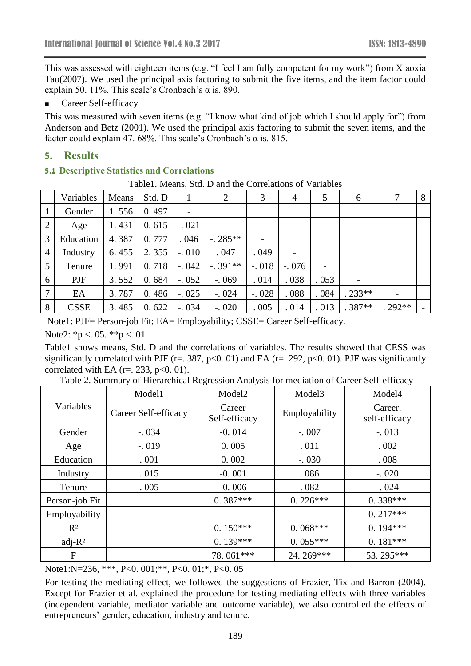This was assessed with eighteen items (e.g. "I feel I am fully competent for my work") from Xiaoxia Tao(2007). We used the principal axis factoring to submit the five items, and the item factor could explain 50. 11%. This scale's Cronbach's  $\alpha$  is. 890.

Career Self-efficacy

This was measured with seven items (e.g. "I know what kind of job which I should apply for") from Anderson and Betz (2001). We used the principal axis factoring to submit the seven items, and the factor could explain 47. 68%. This scale's Cronbach's  $\alpha$  is. 815.

#### **5. Results**

#### **5.1 Descriptive Statistics and Correlations**

Table1. Means, Std. D and the Correlations of Variables

|                | Variables   | Means | Std. D | 1              | 2                        | 3                        | 4       | 5    | 6                            | 7                        | 8 |
|----------------|-------------|-------|--------|----------------|--------------------------|--------------------------|---------|------|------------------------------|--------------------------|---|
| $\mathbf{1}$   | Gender      | 1.556 | 0.497  | $\overline{a}$ |                          |                          |         |      |                              |                          |   |
| 2              | Age         | 1.431 | 0.615  | $-.021$        | $\overline{\phantom{a}}$ |                          |         |      |                              |                          |   |
| 3              | Education   | 4.387 | 0.777  | .046           | $-.285**$                | $\overline{\phantom{a}}$ |         |      |                              |                          |   |
| $\overline{4}$ | Industry    | 6.455 | 2.355  | $-.010$        | .047                     | .049                     |         |      |                              |                          |   |
| 5              | Tenure      | 1.991 | 0.718  | $-.042$        | $-.391**$                | $-.018$                  | $-.076$ |      |                              |                          |   |
| 6              | PJF         | 3.552 | 0.684  | $-.052$        | $-0.069$                 | .014                     | .038    | .053 | $\qquad \qquad \blacksquare$ |                          |   |
| $\overline{7}$ | EA          | 3.787 | 0.486  | $-.025$        | $-.024$                  | $-.028$                  | .088    | .084 | $.233**$                     | $\overline{\phantom{a}}$ |   |
| 8              | <b>CSSE</b> | 3.485 | 0.622  | $-.034$        | $-.020$                  | .005                     | .014    | .013 | $.387**$                     | $.292**$                 |   |

Note1: PJF= Person-job Fit; EA= Employability; CSSE= Career Self-efficacy.

Note2:  $*_{p}$  < 05.  $*_{p}$  < 01

Table1 shows means, Std. D and the correlations of variables. The results showed that CESS was significantly correlated with PJF ( $r = 0.387$ ,  $p < 0.01$ ) and EA ( $r = 0.292$ ,  $p < 0.01$ ). PJF was significantly correlated with EA ( $r = 233$ ,  $p < 0.01$ ).

|                | Model1               | Model <sub>2</sub>      | Model <sub>3</sub> | Model4                   |  |
|----------------|----------------------|-------------------------|--------------------|--------------------------|--|
| Variables      | Career Self-efficacy | Career<br>Self-efficacy | Employability      | Career.<br>self-efficacy |  |
| Gender         | $-.034$              | $-0.014$                | $-.007$            | $-.013$                  |  |
| Age            | $-.019$              | 0.005                   | .011               | .002                     |  |
| Education      | .001                 | 0.002                   | $-.030$            | .008                     |  |
| Industry       | .015                 | $-0.001$                | .086               | $-.020$                  |  |
| Tenure         | .005                 | $-0.006$                | .082               | $-.024$                  |  |
| Person-job Fit |                      | $0.387***$              | $0.226***$         | $0.338***$               |  |
| Employability  |                      |                         |                    | $0.217***$               |  |
| $R^2$          |                      | $0.150***$              | $0.068***$         | $0.194***$               |  |
| $adj-R2$       |                      | $0.139***$              | $0.055***$         | $0.181***$               |  |
| F              |                      | 78.061***               | 24.269***          | 53.295***                |  |

Table 2. Summary of Hierarchical Regression Analysis for mediation of Career Self-efficacy

Note1:N=236, \*\*\*, P<0. 001;\*\*, P<0. 01;\*, P<0. 05

For testing the mediating effect, we followed the suggestions of Frazier, Tix and Barron (2004). Except for Frazier et al. explained the procedure for testing mediating effects with three variables (independent variable, mediator variable and outcome variable), we also controlled the effects of entrepreneurs' gender, education, industry and tenure.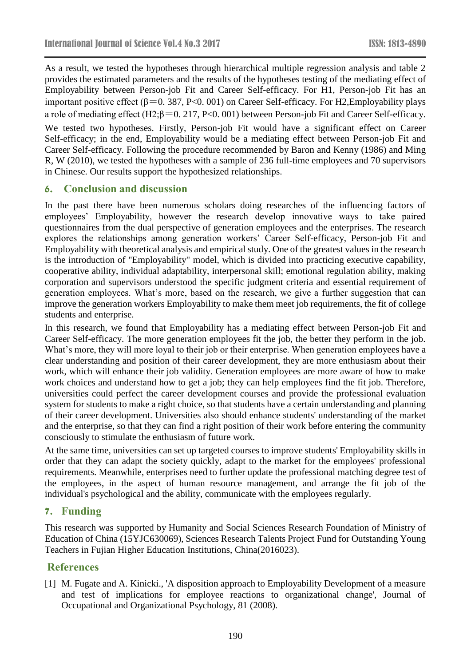As a result, we tested the hypotheses through hierarchical multiple regression analysis and table 2 provides the estimated parameters and the results of the hypotheses testing of the mediating effect of Employability between Person-job Fit and Career Self-efficacy. For H1, Person-job Fit has an important positive effect ( $\beta$ =0. 387, P<0. 001) on Career Self-efficacy. For H2, Employability plays a role of mediating effect (H2;β=0. 217, P<0. 001) between Person-job Fit and Career Self-efficacy. We tested two hypotheses. Firstly, Person-job Fit would have a significant effect on Career Self-efficacy; in the end, Employability would be a mediating effect between Person-job Fit and Career Self-efficacy. Following the procedure recommended by Baron and Kenny (1986) and Ming R, W (2010), we tested the hypotheses with a sample of 236 full-time employees and 70 supervisors in Chinese. Our results support the hypothesized relationships.

## **6. Conclusion and discussion**

In the past there have been numerous scholars doing researches of the influencing factors of employees' Employability, however the research develop innovative ways to take paired questionnaires from the dual perspective of generation employees and the enterprises. The research explores the relationships among generation workers' Career Self-efficacy, Person-job Fit and Employability with theoretical analysis and empirical study. One of the greatest values in the research is the introduction of "Employability" model, which is divided into practicing executive capability, cooperative ability, individual adaptability, interpersonal skill; emotional regulation ability, making corporation and supervisors understood the specific judgment criteria and essential requirement of generation employees. What's more, based on the research, we give a further suggestion that can improve the generation workers Employability to make them meet job requirements, the fit of college students and enterprise.

In this research, we found that Employability has a mediating effect between Person-job Fit and Career Self-efficacy. The more generation employees fit the job, the better they perform in the job. What's more, they will more loyal to their job or their enterprise. When generation employees have a clear understanding and position of their career development, they are more enthusiasm about their work, which will enhance their job validity. Generation employees are more aware of how to make work choices and understand how to get a job; they can help employees find the fit job. Therefore, universities could perfect the career development courses and provide the professional evaluation system for students to make a right choice, so that students have a certain understanding and planning of their career development. Universities also should enhance students' understanding of the market and the enterprise, so that they can find a right position of their work before entering the community consciously to stimulate the enthusiasm of future work.

At the same time, universities can set up targeted courses to improve students' Employability skills in order that they can adapt the society quickly, adapt to the market for the employees' professional requirements. Meanwhile, enterprises need to further update the professional matching degree test of the employees, in the aspect of human resource management, and arrange the fit job of the individual's psychological and the ability, communicate with the employees regularly.

## **7. Funding**

This research was supported by Humanity and Social Sciences Research Foundation of Ministry of Education of China (15YJC630069), Sciences Research Talents Project Fund for Outstanding Young Teachers in Fujian Higher Education Institutions, China(2016023).

## **References**

[1] M. Fugate and A. Kinicki., 'A disposition approach to Employability Development of a measure and test of implications for employee reactions to organizational change', Journal of Occupational and Organizational Psychology, 81 (2008).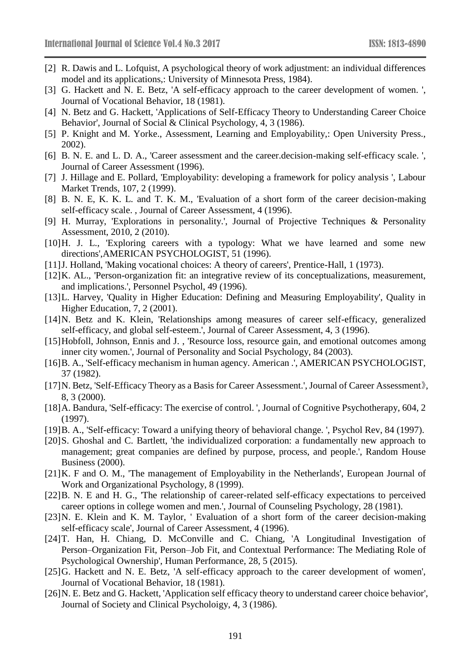- [2] R. Dawis and L. Lofquist, A psychological theory of work adjustment: an individual differences model and its applications,: University of Minnesota Press, 1984).
- [3] G. Hackett and N. E. Betz, 'A self-efficacy approach to the career development of women. ', Journal of Vocational Behavior, 18 (1981).
- [4] N. Betz and G. Hackett, 'Applications of Self-Efficacy Theory to Understanding Career Choice Behavior', Journal of Social & Clinical Psychology, 4, 3 (1986).
- [5] P. Knight and M. Yorke., Assessment, Learning and Employability,: Open University Press., 2002).
- [6] B. N. E. and L. D. A., 'Career assessment and the career.decision-making self-efficacy scale. ', Journal of Career Assessment (1996).
- [7] J. Hillage and E. Pollard, 'Employability: developing a framework for policy analysis ', Labour Market Trends, 107, 2 (1999).
- [8] B. N. E, K. K. L. and T. K. M., 'Evaluation of a short form of the career decision-making self-efficacy scale. , Journal of Career Assessment, 4 (1996).
- [9] H. Murray, 'Explorations in personality.', Journal of Projective Techniques & Personality Assessment, 2010, 2 (2010).
- [10]H. J. L., 'Exploring careers with a typology: What we have learned and some new directions',AMERICAN PSYCHOLOGIST, 51 (1996).
- [11] J. Holland, 'Making vocational choices: A theory of careers', Prentice-Hall, 1 (1973).
- [12]K. AL., 'Person-organization fit: an integrative review of its conceptualizations, measurement, and implications.', Personnel Psychol, 49 (1996).
- [13]L. Harvey, 'Quality in Higher Education: Defining and Measuring Employability', Quality in Higher Education, 7, 2 (2001).
- [14]N. Betz and K. Klein, 'Relationships among measures of career self-efficacy, generalized self-efficacy, and global self-esteem.', Journal of Career Assessment, 4, 3 (1996).
- [15]Hobfoll, Johnson, Ennis and J. , 'Resource loss, resource gain, and emotional outcomes among inner city women.', Journal of Personality and Social Psychology, 84 (2003).
- [16]B. A., 'Self-efficacy mechanism in human agency. American .', AMERICAN PSYCHOLOGIST, 37 (1982).
- [17]N. Betz, 'Self-Efficacy Theory as a Basis for Career Assessment.', Journal of Career Assessment》, 8, 3 (2000).
- [18] A. Bandura, 'Self-efficacy: The exercise of control. ', Journal of Cognitive Psychotherapy, 604, 2 (1997).
- [19]B. A., 'Self-efficacy: Toward a unifying theory of behavioral change. ', Psychol Rev, 84 (1997).
- [20]S. Ghoshal and C. Bartlett, 'the individualized corporation: a fundamentally new approach to management; great companies are defined by purpose, process, and people.', Random House Business (2000).
- [21]K. F and O. M., 'The management of Employability in the Netherlands', European Journal of Work and Organizational Psychology, 8 (1999).
- [22]B. N. E and H. G., 'The relationship of career-related self-efficacy expectations to perceived career options in college women and men.', Journal of Counseling Psychology, 28 (1981).
- [23]N. E. Klein and K. M. Taylor, ' Evaluation of a short form of the career decision-making self-efficacy scale', Journal of Career Assessment, 4 (1996).
- [24]T. Han, H. Chiang, D. McConville and C. Chiang, 'A Longitudinal Investigation of Person–Organization Fit, Person–Job Fit, and Contextual Performance: The Mediating Role of Psychological Ownership', Human Performance, 28, 5 (2015).
- [25] G. Hackett and N. E. Betz, 'A self-efficacy approach to the career development of women', Journal of Vocational Behavior, 18 (1981).
- [26]N. E. Betz and G. Hackett, 'Application self efficacy theory to understand career choice behavior', Journal of Society and Clinical Psycholoigy, 4, 3 (1986).